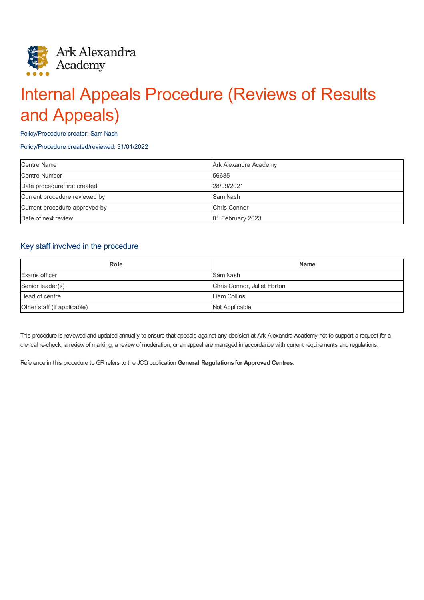

# Internal Appeals Procedure (Reviews of Results and Appeals)

Policy/Procedure creator: Sam Nash

#### Policy/Procedure created/reviewed: 31/01/2022

| <b>Centre Name</b>            | Ark Alexandra Academy |
|-------------------------------|-----------------------|
| <b>Centre Number</b>          | 56685                 |
| Date procedure first created  | 28/09/2021            |
| Current procedure reviewed by | Sam Nash              |
| Current procedure approved by | Chris Connor          |
| Date of next review           | 01 February 2023      |

# Key staff involved in the procedure

| Role                        | <b>Name</b>                 |
|-----------------------------|-----------------------------|
| Exams officer               | Sam Nash                    |
| Senior leader(s)            | Chris Connor, Juliet Horton |
| Head of centre              | Liam Collins                |
| Other staff (if applicable) | Not Applicable              |

This procedure is reviewed and updated annually to ensure that appeals against any decision at Ark Alexandra Academy not to support a request for a clerical re-check, a review of marking, a review of moderation, or an appeal are managed in accordance with current requirements and regulations.

Reference in this procedure to GR refers to the JCQ publication **General Regulations for Approved Centres**.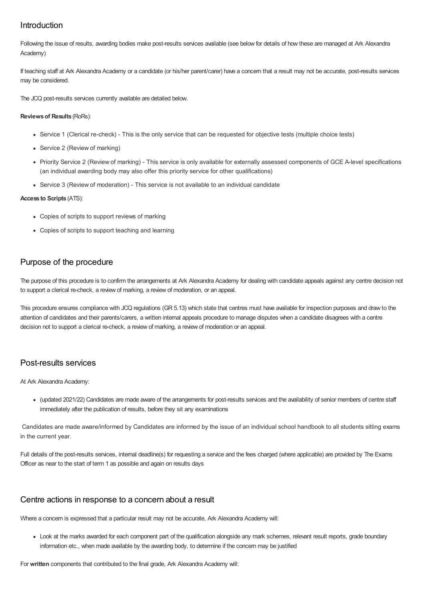# Introduction

Following the issue of results, awarding bodies make post-results services available (see below for details of how these are managed at Ark Alexandra Academy)

If teaching staff at Ark Alexandra Academy or a candidate (or his/her parent/carer) have a concern that a result may not be accurate, post-results services may be considered.

The JCQ post-results services currently available are detailed below.

#### **Reviewsof Results** (RoRs):

- Service 1 (Clerical re-check) This is the only service that can be requested for objective tests (multiple choice tests)
- Service 2 (Review of marking)
- Priority Service 2 (Review of marking) This service is only available for externally assessed components of GCE A-level specifications (an individual awarding body may also offer this priority service for other qualifications)
- Service 3 (Review of moderation) This service is not available to an individual candidate

#### **Access to Scripts** (ATS):

- Copies of scripts to support reviews of marking
- Copies of scripts to support teaching and learning

# Purpose of the procedure

The purpose of this procedure is to confirm the arrangements at Ark Alexandra Academy for dealing with candidate appeals against any centre decision not to support a clerical re-check, a review of marking, a review of moderation, or an appeal.

This procedure ensures compliance with JCQ regulations (GR 5.13) which state that centres must have available for inspection purposes and draw to the attention of candidates and their parents/carers, a written internal appeals procedure to manage disputes when a candidate disagrees with a centre decision not to support a clerical re-check, a review of marking, a review of moderation or an appeal.

# Post-results services

At Ark Alexandra Academy:

(updated 2021/22) Candidates are made aware of the arrangements for post-results services and the availability of senior members of centre staff immediately after the publication of results, before they sit any examinations

Candidates are made aware/informed by Candidates are informed by the issue of an individual school handbook to all students sitting exams in the current year.

Full details of the post-results services, internal deadline(s) for requesting a service and the fees charged (where applicable) are provided by The Exams Officer as near to the start of term 1 as possible and again on results days

#### Centre actions in response to a concern about a result

Where a concern is expressed that a particular result may not be accurate, Ark Alexandra Academy will:

Look at the marks awarded for each component part of the qualification alongside any mark schemes, relevant result reports, grade boundary information etc., when made available by the awarding body, to determine if the concern may be justified

For **written** components that contributed to the final grade, Ark Alexandra Academy will: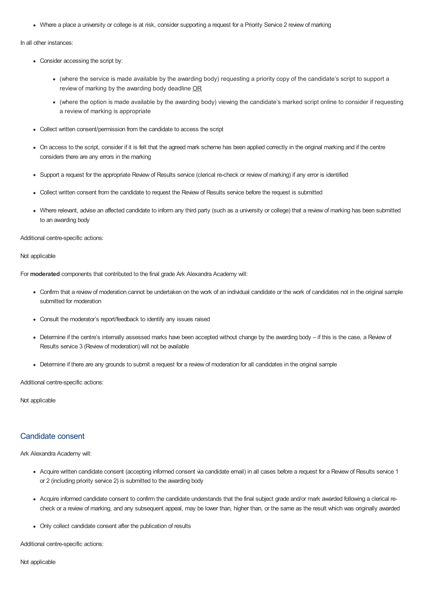Where a place a university or college is at risk, consider supporting a request for a Priority Service 2 review of marking

In all other instances:

- Consider accessing the script by:
	- (where the service is made available by the awarding body) requesting a priority copy of the candidate's script to support a review of marking by the awarding body deadline OR
	- (where the option is made available by the awarding body) viewing the candidate's marked script online to consider if requesting a review of marking is appropriate
- Collect written consent/permission from the candidate to access the script
- On access to the script, consider if it is felt that the agreed mark scheme has been applied correctly in the original marking and if the centre considers there are any errors in the marking
- Support a request for the appropriate Review of Results service (clerical re-check or review of marking) if any error is identified
- Collect written consent from the candidate to request the Review of Results service before the request is submitted
- Where relevant, advise an affected candidate to inform any third party (such as a university or college) that a review of marking has been submitted to an awarding body

Additional centre-specific actions:

#### Not applicable

For **moderated** components that contributed to the final grade Ark Alexandra Academy will:

- Confirm that a review of moderation cannot be undertaken on the work of an individual candidate or the work of candidates not in the original sample submitted for moderation
- Consult the moderator's report/feedback to identify any issues raised
- Determine if the centre's internally assessed marks have been accepted without change by the awarding body if this is the case, a Review of Results service 3 (Review of moderation) will not be available
- Determine if there are any grounds to submit a request for a review of moderation for all candidates in the original sample

Additional centre-specific actions:

Not applicable

#### Candidate consent

Ark Alexandra Academy will:

- Acquire written candidate consent (accepting informed consent via candidate email) in all cases before a request for a Review of Results service 1 or 2 (including priority service 2) is submitted to the awarding body
- Acquire informed candidate consent to confirm the candidate understands that the final subject grade and/or mark awarded following a clerical recheck or a review of marking, and any subsequent appeal, may be lower than, higher than, or the same as the result which was originally awarded
- Only collect candidate consent after the publication of results

Additional centre-specific actions:

Not applicable